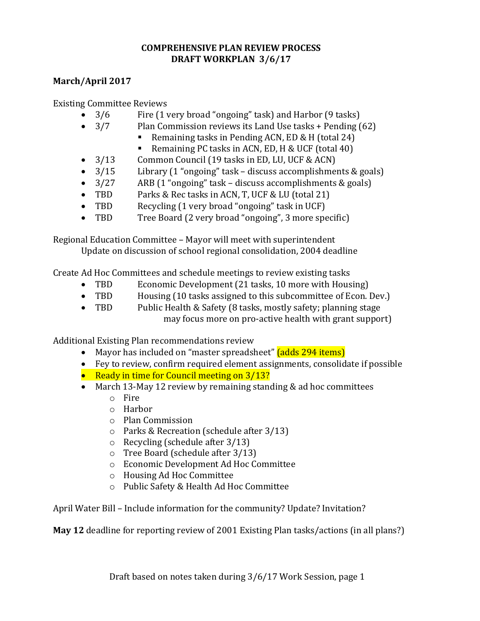## **COMPREHENSIVE PLAN REVIEW PROCESS DRAFT WORKPLAN 3/6/17**

## **March/April 2017**

Existing Committee Reviews

- 3/6 Fire (1 very broad "ongoing" task) and Harbor (9 tasks)
- 3/7 Plan Commission reviews its Land Use tasks + Pending (62)
	- Remaining tasks in Pending ACN, ED & H (total 24)
		- Remaining PC tasks in ACN, ED, H & UCF (total 40)
- 3/13 Common Council (19 tasks in ED, LU, UCF & ACN)
- 3/15 Library (1 "ongoing" task discuss accomplishments & goals)
- 3/27 ARB (1 "ongoing" task discuss accomplishments & goals)
- TBD Parks & Rec tasks in ACN, T, UCF & LU (total 21)
- TBD Recycling (1 very broad "ongoing" task in UCF)
- TBD Tree Board (2 very broad "ongoing", 3 more specific)

Regional Education Committee – Mayor will meet with superintendent Update on discussion of school regional consolidation, 2004 deadline

Create Ad Hoc Committees and schedule meetings to review existing tasks

- TBD Economic Development (21 tasks, 10 more with Housing)
- TBD Housing (10 tasks assigned to this subcommittee of Econ. Dev.)
- TBD Public Health & Safety (8 tasks, mostly safety; planning stage may focus more on pro-active health with grant support)

Additional Existing Plan recommendations review

- Mayor has included on "master spreadsheet" (adds 294 items)
- Fey to review, confirm required element assignments, consolidate if possible
- Ready in time for Council meeting on  $3/13$ ?
- March 13-May 12 review by remaining standing & ad hoc committees
	- o Fire
	- o Harbor
	- o Plan Commission
	- o Parks & Recreation (schedule after 3/13)
	- o Recycling (schedule after 3/13)
	- o Tree Board (schedule after 3/13)
	- o Economic Development Ad Hoc Committee
	- o Housing Ad Hoc Committee
	- o Public Safety & Health Ad Hoc Committee

April Water Bill – Include information for the community? Update? Invitation?

**May 12** deadline for reporting review of 2001 Existing Plan tasks/actions (in all plans?)